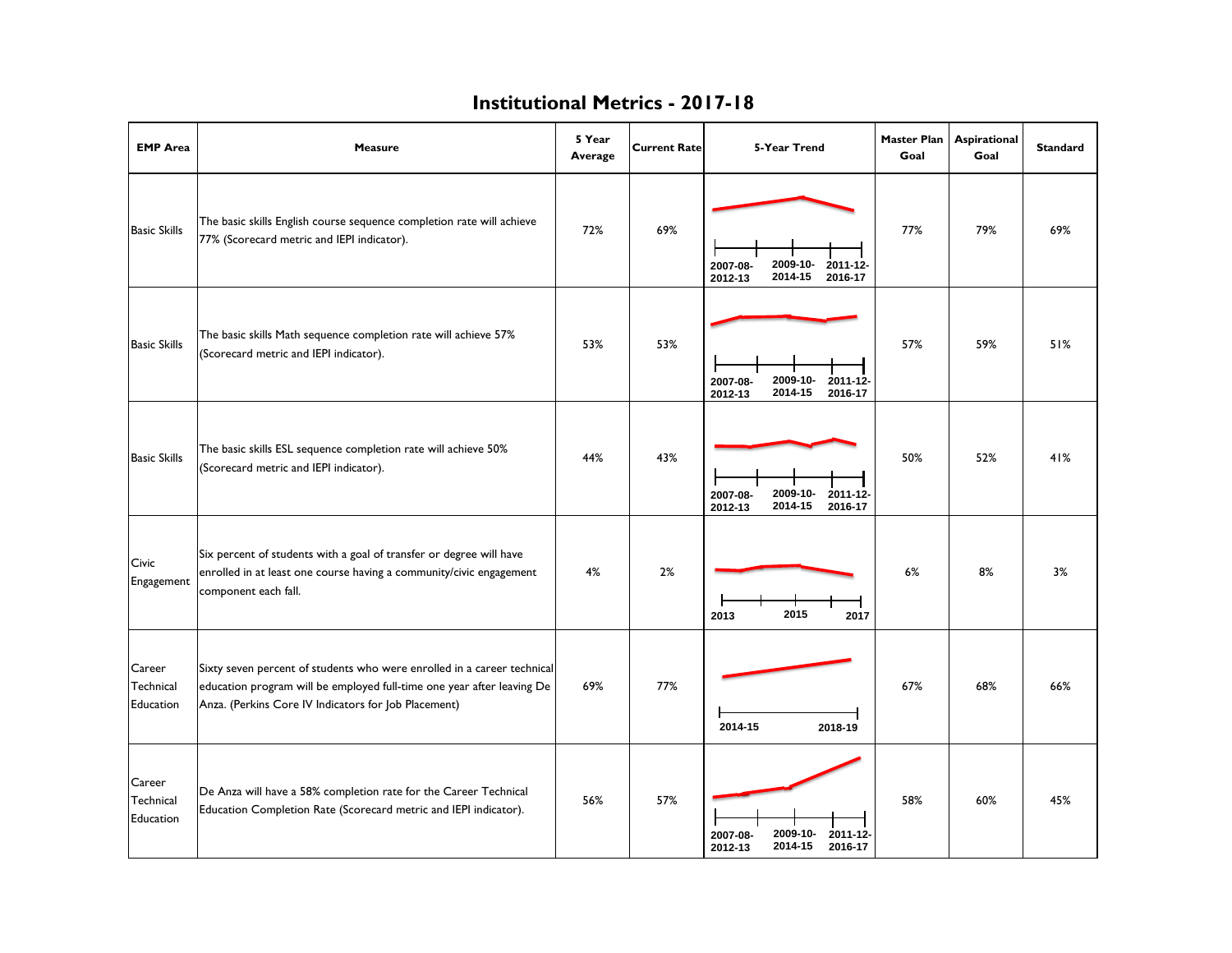| <b>EMP</b> Area                         | <b>Measure</b>                                                                                                                                                                                            | 5 Year<br>Average | <b>Current Rate</b> | 5-Year Trend                                                      | <b>Master Plan</b><br>Goal | Aspirational<br>Goal | <b>Standard</b> |
|-----------------------------------------|-----------------------------------------------------------------------------------------------------------------------------------------------------------------------------------------------------------|-------------------|---------------------|-------------------------------------------------------------------|----------------------------|----------------------|-----------------|
| <b>Basic Skills</b>                     | The basic skills English course sequence completion rate will achieve<br>77% (Scorecard metric and IEPI indicator).                                                                                       | 72%               | 69%                 | 2009-10-<br>2007-08-<br>2011-12-<br>2014-15<br>2016-17<br>2012-13 | 77%                        | 79%                  | 69%             |
| <b>Basic Skills</b>                     | The basic skills Math sequence completion rate will achieve 57%<br>(Scorecard metric and IEPI indicator).                                                                                                 | 53%               | 53%                 | 2009-10-<br>2007-08-<br>2011-12-<br>2014-15<br>2016-17<br>2012-13 | 57%                        | 59%                  | 51%             |
| <b>Basic Skills</b>                     | The basic skills ESL sequence completion rate will achieve 50%<br>(Scorecard metric and IEPI indicator).                                                                                                  | 44%               | 43%                 | 2009-10-<br>2007-08-<br>2011-12-<br>2014-15<br>2016-17<br>2012-13 | 50%                        | 52%                  | 41%             |
| Civic<br>Engagement                     | Six percent of students with a goal of transfer or degree will have<br>enrolled in at least one course having a community/civic engagement<br>component each fall.                                        | 4%                | 2%                  | 2015<br>2013<br>2017                                              | 6%                         | 8%                   | 3%              |
| Career<br>Technical<br>Education        | Sixty seven percent of students who were enrolled in a career technical<br>education program will be employed full-time one year after leaving De<br>Anza. (Perkins Core IV Indicators for Job Placement) | 69%               | 77%                 | 2014-15<br>2018-19                                                | 67%                        | 68%                  | 66%             |
| Career<br>Technical<br><b>Education</b> | De Anza will have a 58% completion rate for the Career Technical<br>Education Completion Rate (Scorecard metric and IEPI indicator).                                                                      | 56%               | 57%                 | 2009-10-<br>2007-08-<br>2011-12-<br>2014-15<br>2012-13<br>2016-17 | 58%                        | 60%                  | 45%             |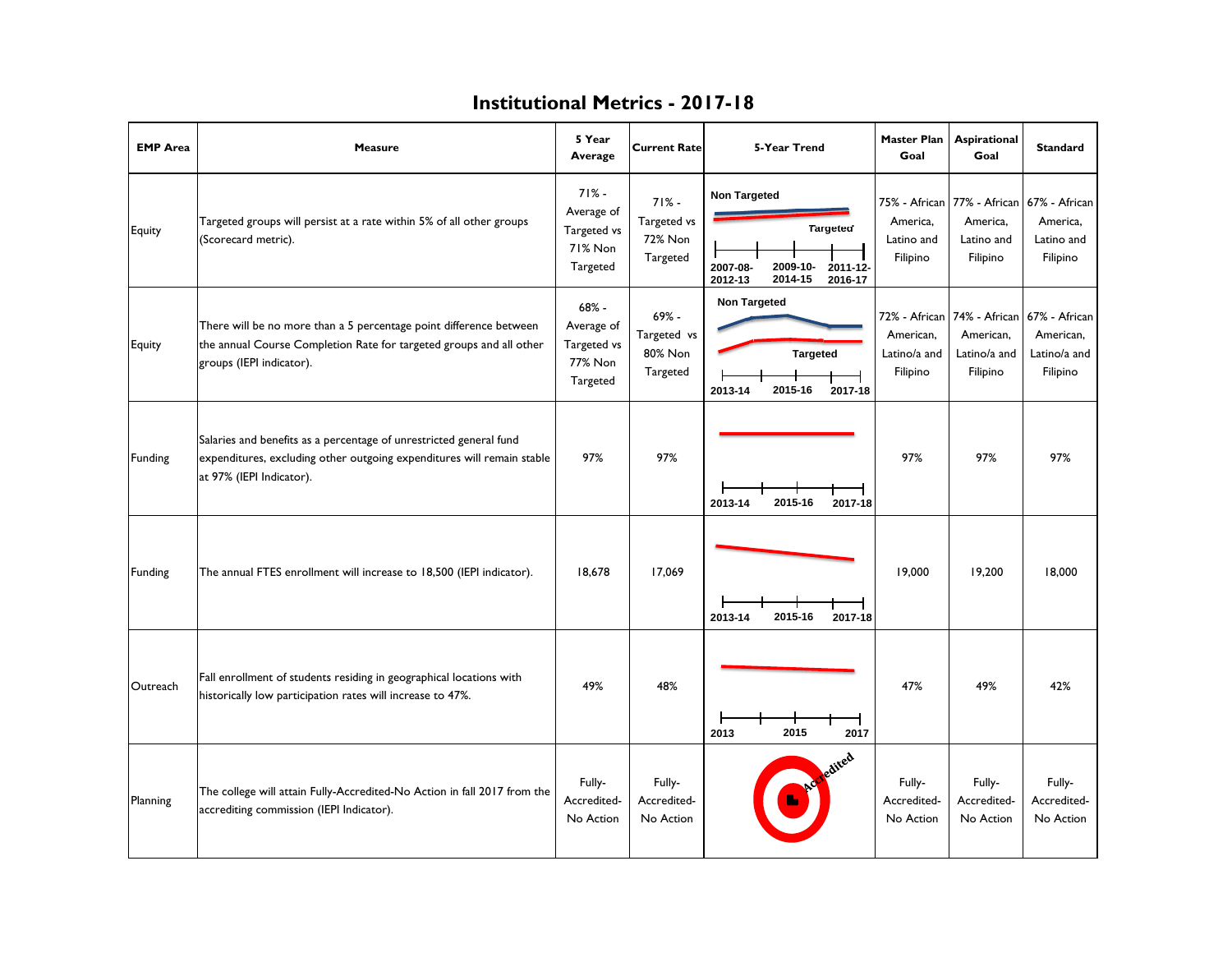| <b>EMP Area</b> | Measure                                                                                                                                                                  | 5 Year<br>Average                                           | <b>Current Rate</b>                                  | 5-Year Trend                                                                                                | <b>Master Plan</b><br>Goal                             | Aspirational<br>Goal                                                 | <b>Standard</b>                                                   |
|-----------------|--------------------------------------------------------------------------------------------------------------------------------------------------------------------------|-------------------------------------------------------------|------------------------------------------------------|-------------------------------------------------------------------------------------------------------------|--------------------------------------------------------|----------------------------------------------------------------------|-------------------------------------------------------------------|
| Equity          | Targeted groups will persist at a rate within 5% of all other groups<br>(Scorecard metric).                                                                              | $71% -$<br>Average of<br>Targeted vs<br>71% Non<br>Targeted | $71% -$<br>Targeted vs<br><b>72% Non</b><br>Targeted | <b>Non Targeted</b><br><b>Targeted</b><br>2009-10-<br>2007-08-<br>2011-12-<br>2014-15<br>2016-17<br>2012-13 | 75% - African<br>America,<br>Latino and<br>Filipino    | America,<br>Latino and<br>Filipino                                   | 77% - African 67% - African<br>America,<br>Latino and<br>Filipino |
| Equity          | There will be no more than a 5 percentage point difference between<br>the annual Course Completion Rate for targeted groups and all other<br>groups (IEPI indicator).    | $68% -$<br>Average of<br>Targeted vs<br>77% Non<br>Targeted | 69% -<br>Targeted vs<br>80% Non<br>Targeted          | <b>Non Targeted</b><br><b>Targeted</b><br>2015-16<br>2017-18<br>2013-14                                     | 72% - African<br>American.<br>Latino/a and<br>Filipino | 74% - African 67% - African<br>American.<br>Latino/a and<br>Filipino | American.<br>Latino/a and<br>Filipino                             |
| <b>Funding</b>  | Salaries and benefits as a percentage of unrestricted general fund<br>expenditures, excluding other outgoing expenditures will remain stable<br>at 97% (IEPI Indicator). | 97%                                                         | 97%                                                  | 2015-16<br>2013-14<br>2017-18                                                                               | 97%                                                    | 97%                                                                  | 97%                                                               |
| Funding         | The annual FTES enrollment will increase to 18,500 (IEPI indicator).                                                                                                     | 18,678                                                      | 17,069                                               | 2015-16<br>2013-14<br>2017-18                                                                               | 19,000                                                 | 19,200                                                               | 18,000                                                            |
| Outreach        | Fall enrollment of students residing in geographical locations with<br>historically low participation rates will increase to 47%.                                        | 49%                                                         | 48%                                                  | 2015<br>2013<br>2017                                                                                        | 47%                                                    | 49%                                                                  | 42%                                                               |
| Planning        | The college will attain Fully-Accredited-No Action in fall 2017 from the<br>accrediting commission (IEPI Indicator).                                                     | Fully-<br>Accredited-<br>No Action                          | Fully-<br>Accredited-<br>No Action                   | edited                                                                                                      | Fully-<br>Accredited-<br>No Action                     | Fully-<br>Accredited-<br>No Action                                   | Fully-<br>Accredited-<br>No Action                                |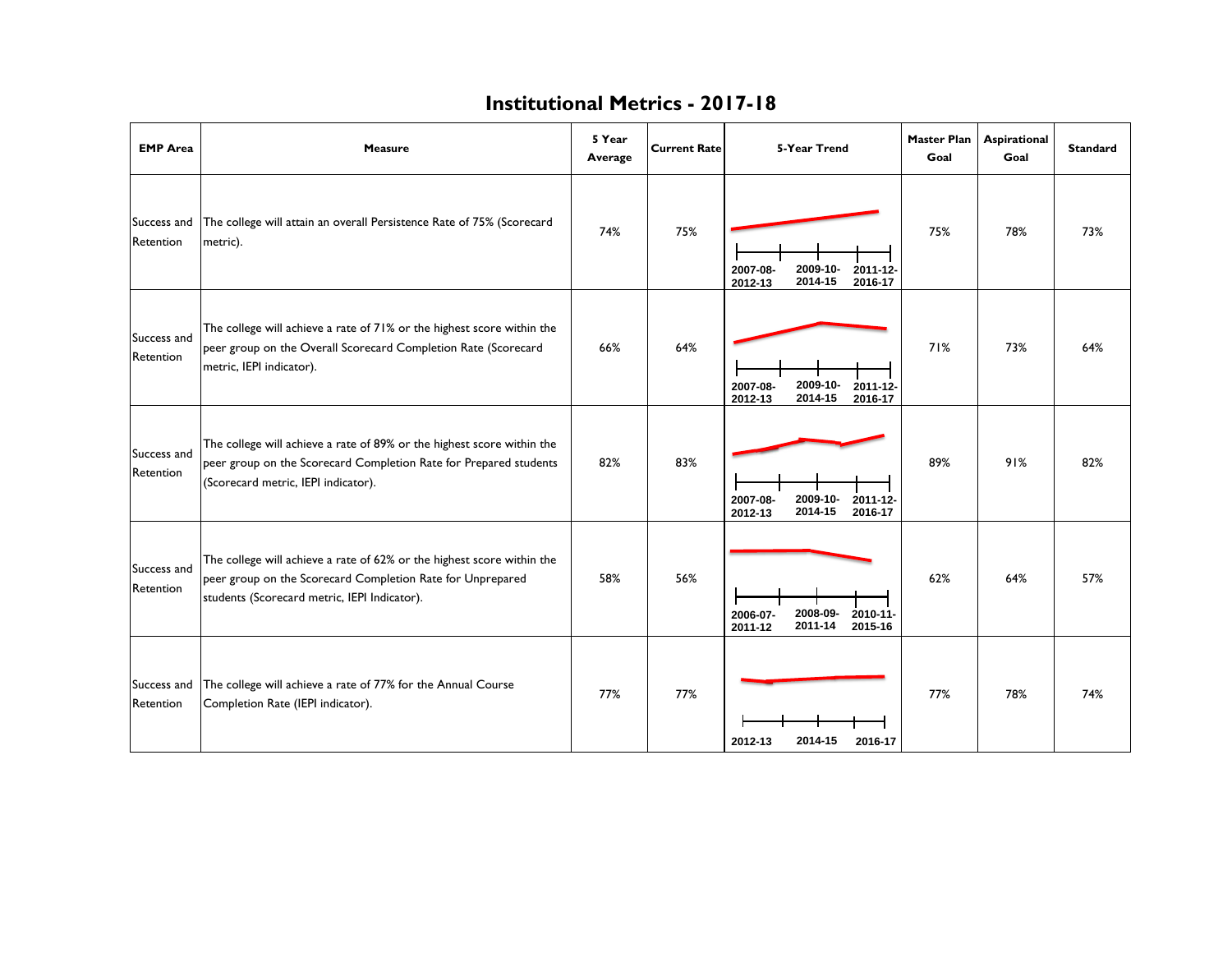| <b>EMP</b> Area          | <b>Measure</b>                                                                                                                                                                       | 5 Year<br>Average | <b>Current Rate</b> | 5-Year Trend                                                      | <b>Master Plan</b><br>Goal | Aspirational<br>Goal | <b>Standard</b> |
|--------------------------|--------------------------------------------------------------------------------------------------------------------------------------------------------------------------------------|-------------------|---------------------|-------------------------------------------------------------------|----------------------------|----------------------|-----------------|
| Success and<br>Retention | The college will attain an overall Persistence Rate of 75% (Scorecard<br>metric).                                                                                                    | 74%               | 75%                 | 2009-10-<br>2011-12-<br>2007-08-<br>2014-15<br>2016-17<br>2012-13 | 75%                        | 78%                  | 73%             |
| Success and<br>Retention | The college will achieve a rate of 71% or the highest score within the<br>peer group on the Overall Scorecard Completion Rate (Scorecard<br>metric, IEPI indicator).                 | 66%               | 64%                 | 2009-10-<br>2011-12-<br>2007-08-<br>2014-15<br>2016-17<br>2012-13 | 71%                        | 73%                  | 64%             |
| Success and<br>Retention | The college will achieve a rate of 89% or the highest score within the<br>peer group on the Scorecard Completion Rate for Prepared students<br>(Scorecard metric, IEPI indicator).   | 82%               | 83%                 | 2009-10-<br>2007-08-<br>2011-12-<br>2014-15<br>2016-17<br>2012-13 | 89%                        | 91%                  | 82%             |
| Success and<br>Retention | The college will achieve a rate of 62% or the highest score within the<br>peer group on the Scorecard Completion Rate for Unprepared<br>students (Scorecard metric, IEPI Indicator). | 58%               | 56%                 | 2006-07-<br>2008-09-<br>2010-11-<br>2015-16<br>2011-12<br>2011-14 | 62%                        | 64%                  | 57%             |
| Success and<br>Retention | The college will achieve a rate of 77% for the Annual Course<br>Completion Rate (IEPI indicator).                                                                                    | 77%               | 77%                 | 2014-15<br>2012-13<br>2016-17                                     | 77%                        | 78%                  | 74%             |